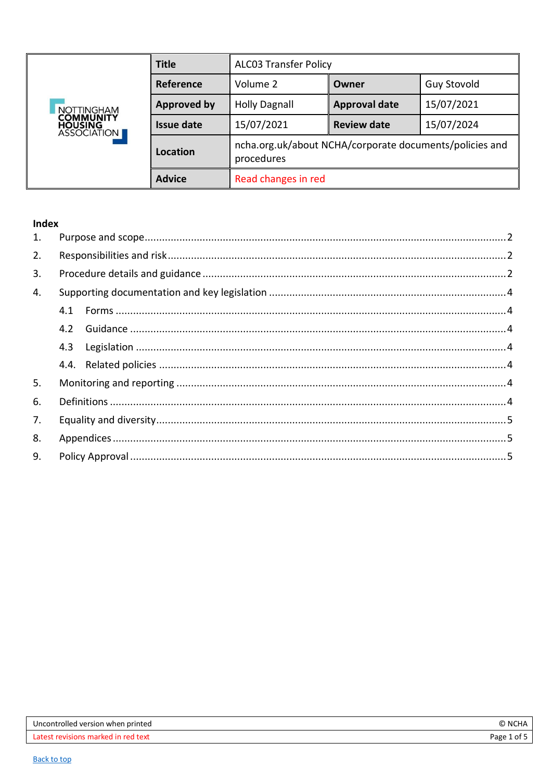<span id="page-0-0"></span>

|                                                          | <b>Title</b>       | <b>ALCO3 Transfer Policy</b>                                          |                      |                    |
|----------------------------------------------------------|--------------------|-----------------------------------------------------------------------|----------------------|--------------------|
|                                                          | Reference          | Volume 2                                                              | Owner                | <b>Guy Stovold</b> |
| <b>NOTTINGHAM</b>                                        | <b>Approved by</b> | <b>Holly Dagnall</b>                                                  | <b>Approval date</b> | 15/07/2021         |
| <b>COMMUNITY</b><br><b>HOUSING</b><br><b>ASSOCIATION</b> | <b>Issue date</b>  | 15/07/2021                                                            | <b>Review date</b>   | 15/07/2024         |
|                                                          | Location           | ncha.org.uk/about NCHA/corporate documents/policies and<br>procedures |                      |                    |
|                                                          | <b>Advice</b>      | Read changes in red                                                   |                      |                    |

# Index

| 1. |     |  |
|----|-----|--|
| 2. |     |  |
| 3. |     |  |
| 4. |     |  |
|    |     |  |
|    | 4.2 |  |
|    | 4.3 |  |
|    |     |  |
| 5. |     |  |
| 6. |     |  |
| 7. |     |  |
| 8. |     |  |
| 9. |     |  |
|    |     |  |

| Uncontrolled version when printed          | -NC<br>.л⊓.∙ |
|--------------------------------------------|--------------|
| c revisions marked in red text.<br>l atest | Page 1 of .  |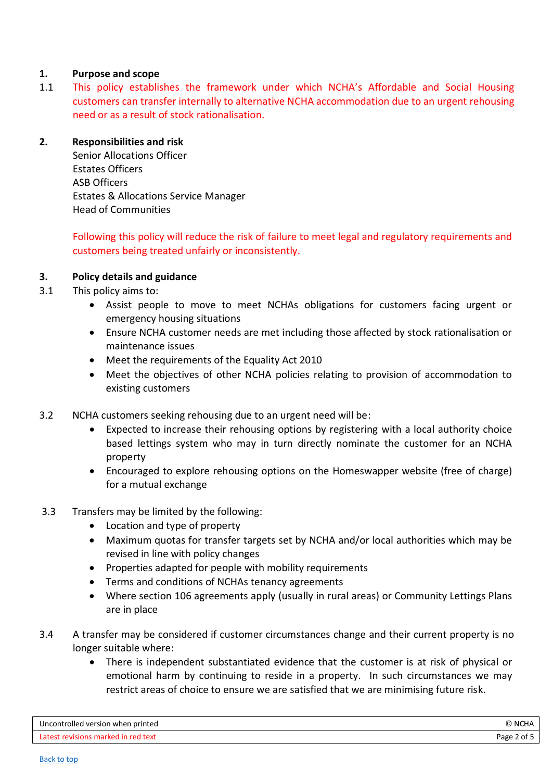### <span id="page-1-0"></span>**1. Purpose and scope**

1.1 This policy establishes the framework under which NCHA's Affordable and Social Housing customers can transfer internally to alternative NCHA accommodation due to an urgent rehousing need or as a result of stock rationalisation.

#### <span id="page-1-1"></span>**2. Responsibilities and risk**

Senior Allocations Officer Estates Officers ASB Officers Estates & Allocations Service Manager Head of Communities

Following this policy will reduce the risk of failure to meet legal and regulatory requirements and customers being treated unfairly or inconsistently.

### <span id="page-1-2"></span>**3. Policy details and guidance**

- 3.1 This policy aims to:
	- Assist people to move to meet NCHAs obligations for customers facing urgent or emergency housing situations
	- Ensure NCHA customer needs are met including those affected by stock rationalisation or maintenance issues
	- Meet the requirements of the Equality Act 2010
	- Meet the objectives of other NCHA policies relating to provision of accommodation to existing customers
- 3.2 NCHA customers seeking rehousing due to an urgent need will be:
	- Expected to increase their rehousing options by registering with a local authority choice based lettings system who may in turn directly nominate the customer for an NCHA property
	- Encouraged to explore rehousing options on the Homeswapper website (free of charge) for a mutual exchange
- 3.3 Transfers may be limited by the following:
	- Location and type of property
	- Maximum quotas for transfer targets set by NCHA and/or local authorities which may be revised in line with policy changes
	- Properties adapted for people with mobility requirements
	- Terms and conditions of NCHAs tenancy agreements
	- Where section 106 agreements apply (usually in rural areas) or Community Lettings Plans are in place
- 3.4 A transfer may be considered if customer circumstances change and their current property is no longer suitable where:
	- There is independent substantiated evidence that the customer is at risk of physical or emotional harm by continuing to reside in a property. In such circumstances we may restrict areas of choice to ensure we are satisfied that we are minimising future risk.

| Uncontrolled version when printed   | C NCHA      |
|-------------------------------------|-------------|
| Latest revisions marked in red text | Page 2 of 5 |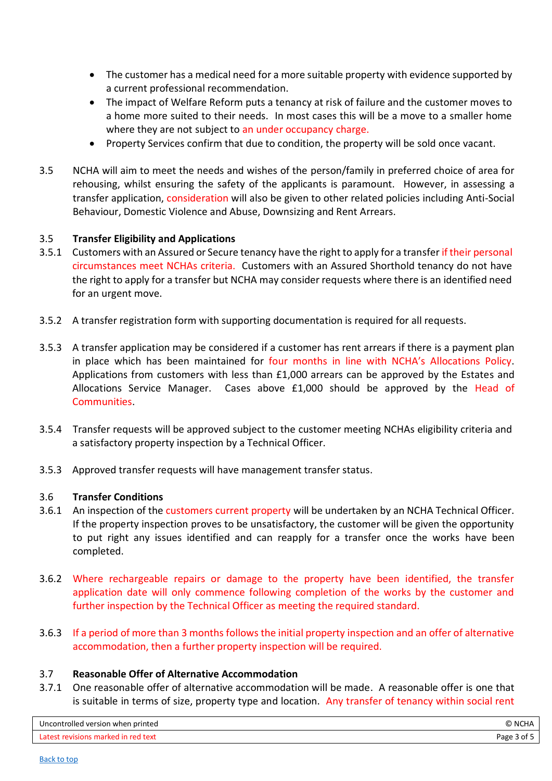- The customer has a medical need for a more suitable property with evidence supported by a current professional recommendation.
- The impact of Welfare Reform puts a tenancy at risk of failure and the customer moves to a home more suited to their needs. In most cases this will be a move to a smaller home where they are not subject to an under occupancy charge.
- Property Services confirm that due to condition, the property will be sold once vacant.
- 3.5 NCHA will aim to meet the needs and wishes of the person/family in preferred choice of area for rehousing, whilst ensuring the safety of the applicants is paramount. However, in assessing a transfer application, consideration will also be given to other related policies including Anti-Social Behaviour, Domestic Violence and Abuse, Downsizing and Rent Arrears.

### 3.5 **Transfer Eligibility and Applications**

- 3.5.1 Customers with an Assured or Secure tenancy have the right to apply for a transfer if their personal circumstances meet NCHAs criteria. Customers with an Assured Shorthold tenancy do not have the right to apply for a transfer but NCHA may consider requests where there is an identified need for an urgent move.
- 3.5.2 A transfer registration form with supporting documentation is required for all requests.
- 3.5.3 A transfer application may be considered if a customer has rent arrears if there is a payment plan in place which has been maintained for four months in line with NCHA's Allocations Policy. Applications from customers with less than £1,000 arrears can be approved by the Estates and Allocations Service Manager. Cases above £1,000 should be approved by the Head of Communities.
- 3.5.4 Transfer requests will be approved subject to the customer meeting NCHAs eligibility criteria and a satisfactory property inspection by a Technical Officer.
- 3.5.3 Approved transfer requests will have management transfer status.

#### 3.6 **Transfer Conditions**

- 3.6.1 An inspection of the customers current property will be undertaken by an NCHA Technical Officer. If the property inspection proves to be unsatisfactory, the customer will be given the opportunity to put right any issues identified and can reapply for a transfer once the works have been completed.
- 3.6.2 Where rechargeable repairs or damage to the property have been identified, the transfer application date will only commence following completion of the works by the customer and further inspection by the Technical Officer as meeting the required standard.
- 3.6.3 If a period of more than 3 months follows the initial property inspection and an offer of alternative accommodation, then a further property inspection will be required.

#### 3.7 **Reasonable Offer of Alternative Accommodation**

3.7.1 One reasonable offer of alternative accommodation will be made. A reasonable offer is one that is suitable in terms of size, property type and location. Any transfer of tenancy within social rent

| Uncontrolled version when printed   | © NCHA      |
|-------------------------------------|-------------|
| Latest revisions marked in red text | Page 3 of 5 |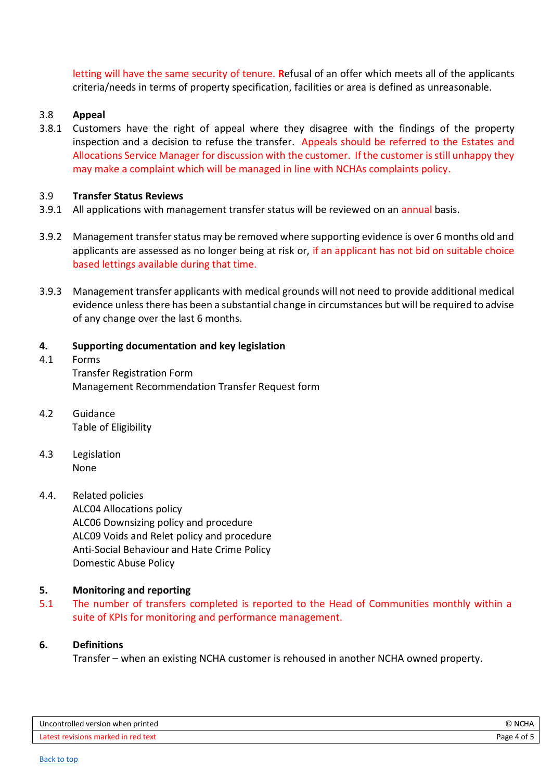letting will have the same security of tenure. **R**efusal of an offer which meets all of the applicants criteria/needs in terms of property specification, facilities or area is defined as unreasonable.

### 3.8 **Appeal**

3.8.1 Customers have the right of appeal where they disagree with the findings of the property inspection and a decision to refuse the transfer. Appeals should be referred to the Estates and Allocations Service Manager for discussion with the customer. If the customer is still unhappy they may make a complaint which will be managed in line with NCHAs complaints policy.

#### 3.9 **Transfer Status Reviews**

- 3.9.1 All applications with management transfer status will be reviewed on an annual basis.
- 3.9.2 Management transfer status may be removed where supporting evidence is over 6 months old and applicants are assessed as no longer being at risk or, if an applicant has not bid on suitable choice based lettings available during that time.
- 3.9.3 Management transfer applicants with medical grounds will not need to provide additional medical evidence unless there has been a substantial change in circumstances but will be required to advise of any change over the last 6 months.

#### <span id="page-3-0"></span>**4. Supporting documentation and key legislation**

- <span id="page-3-1"></span>4.1 Forms Transfer Registration Form Management Recommendation Transfer Request form
- <span id="page-3-2"></span>4.2 Guidance Table of Eligibility
- <span id="page-3-3"></span>4.3 Legislation None
- <span id="page-3-4"></span>4.4. Related policies

ALC04 Allocations policy ALC06 Downsizing policy and procedure ALC09 Voids and Relet policy and procedure Anti-Social Behaviour and Hate Crime Policy Domestic Abuse Policy

#### <span id="page-3-5"></span>**5. Monitoring and reporting**

5.1 The number of transfers completed is reported to the Head of Communities monthly within a suite of KPIs for monitoring and performance management.

### <span id="page-3-6"></span>**6. Definitions**

Transfer – when an existing NCHA customer is rehoused in another NCHA owned property.

| Uncontrolled version when printed | ., NC'<br>ง∪⊓≁ |
|-----------------------------------|----------------|
| roo                               | ەמבּ           |
| arvan                             | age            |